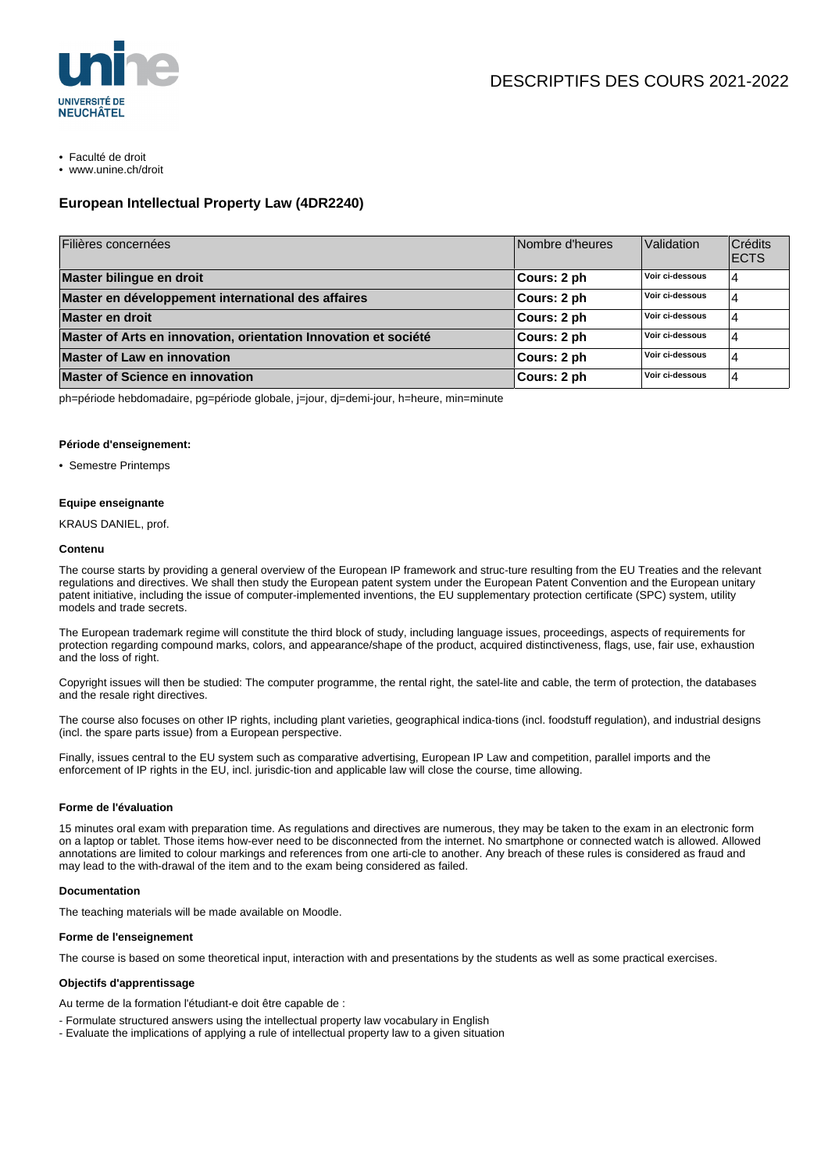

- Faculté de droit
- www.unine.ch/droit

# **European Intellectual Property Law (4DR2240)**

| Filières concernées                                             | Nombre d'heures | Validation      | Crédits<br><b>ECTS</b> |
|-----------------------------------------------------------------|-----------------|-----------------|------------------------|
| Master bilingue en droit                                        | Cours: 2 ph     | Voir ci-dessous |                        |
| Master en développement international des affaires              | Cours: 2 ph     | Voir ci-dessous |                        |
| Master en droit                                                 | Cours: 2 ph     | Voir ci-dessous |                        |
| Master of Arts en innovation, orientation Innovation et société | Cours: 2 ph     | Voir ci-dessous |                        |
| <b>Master of Law en innovation</b>                              | Cours: 2 ph     | Voir ci-dessous |                        |
| <b>Master of Science en innovation</b>                          | Cours: 2 ph     | Voir ci-dessous |                        |

ph=période hebdomadaire, pg=période globale, j=jour, dj=demi-jour, h=heure, min=minute

### **Période d'enseignement:**

• Semestre Printemps

### **Equipe enseignante**

KRAUS DANIEL, prof.

#### **Contenu**

The course starts by providing a general overview of the European IP framework and struc-ture resulting from the EU Treaties and the relevant regulations and directives. We shall then study the European patent system under the European Patent Convention and the European unitary patent initiative, including the issue of computer-implemented inventions, the EU supplementary protection certificate (SPC) system, utility models and trade secrets.

The European trademark regime will constitute the third block of study, including language issues, proceedings, aspects of requirements for protection regarding compound marks, colors, and appearance/shape of the product, acquired distinctiveness, flags, use, fair use, exhaustion and the loss of right.

Copyright issues will then be studied: The computer programme, the rental right, the satel-lite and cable, the term of protection, the databases and the resale right directives.

The course also focuses on other IP rights, including plant varieties, geographical indica-tions (incl. foodstuff regulation), and industrial designs (incl. the spare parts issue) from a European perspective.

Finally, issues central to the EU system such as comparative advertising, European IP Law and competition, parallel imports and the enforcement of IP rights in the EU, incl. jurisdic-tion and applicable law will close the course, time allowing.

#### **Forme de l'évaluation**

15 minutes oral exam with preparation time. As regulations and directives are numerous, they may be taken to the exam in an electronic form on a laptop or tablet. Those items how-ever need to be disconnected from the internet. No smartphone or connected watch is allowed. Allowed annotations are limited to colour markings and references from one arti-cle to another. Any breach of these rules is considered as fraud and may lead to the with-drawal of the item and to the exam being considered as failed.

## **Documentation**

The teaching materials will be made available on Moodle.

## **Forme de l'enseignement**

The course is based on some theoretical input, interaction with and presentations by the students as well as some practical exercises.

#### **Objectifs d'apprentissage**

Au terme de la formation l'étudiant-e doit être capable de :

- Formulate structured answers using the intellectual property law vocabulary in English
- Evaluate the implications of applying a rule of intellectual property law to a given situation